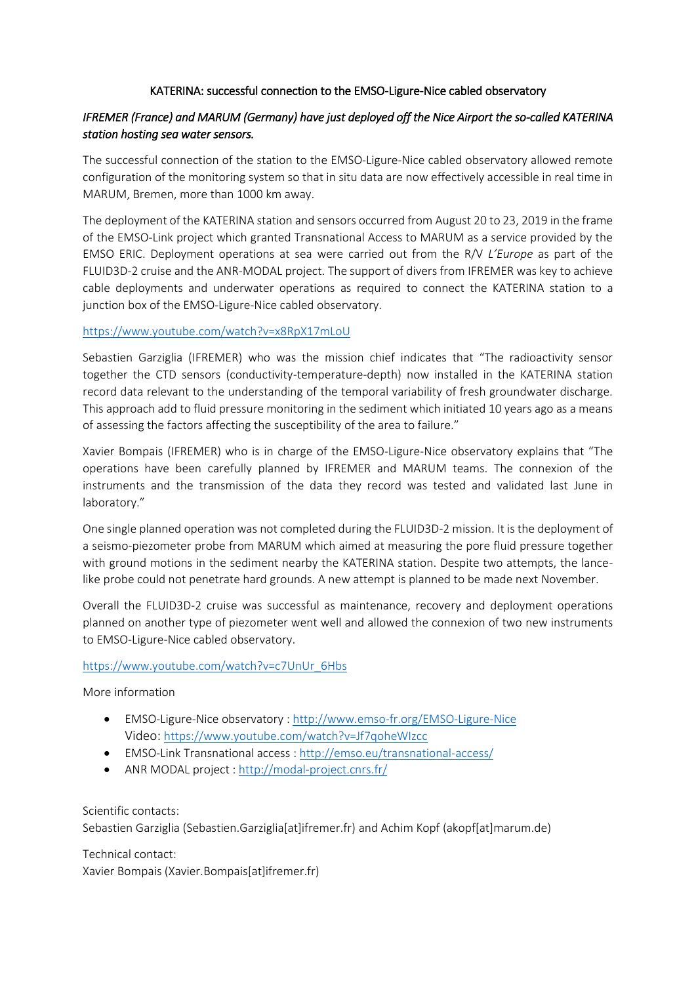## KATERINA: successful connection to the EMSO-Ligure-Nice cabled observatory

## *IFREMER (France) and MARUM (Germany) have just deployed off the Nice Airport the so-called KATERINA station hosting sea water sensors.*

The successful connection of the station to the EMSO-Ligure-Nice cabled observatory allowed remote configuration of the monitoring system so that in situ data are now effectively accessible in real time in MARUM, Bremen, more than 1000 km away.

The deployment of the KATERINA station and sensors occurred from August 20 to 23, 2019 in the frame of the EMSO-Link project which granted Transnational Access to MARUM as a service provided by the EMSO ERIC. Deployment operations at sea were carried out from the R/V *L'Europe* as part of the FLUID3D-2 cruise and the ANR-MODAL project. The support of divers from IFREMER was key to achieve cable deployments and underwater operations as required to connect the KATERINA station to a junction box of the EMSO-Ligure-Nice cabled observatory.

## <https://www.youtube.com/watch?v=x8RpX17mLoU>

Sebastien Garziglia (IFREMER) who was the mission chief indicates that "The radioactivity sensor together the CTD sensors (conductivity-temperature-depth) now installed in the KATERINA station record data relevant to the understanding of the temporal variability of fresh groundwater discharge. This approach add to fluid pressure monitoring in the sediment which initiated 10 years ago as a means of assessing the factors affecting the susceptibility of the area to failure."

Xavier Bompais (IFREMER) who is in charge of the EMSO-Ligure-Nice observatory explains that "The operations have been carefully planned by IFREMER and MARUM teams. The connexion of the instruments and the transmission of the data they record was tested and validated last June in laboratory."

One single planned operation was not completed during the FLUID3D-2 mission. It is the deployment of a seismo-piezometer probe from MARUM which aimed at measuring the pore fluid pressure together with ground motions in the sediment nearby the KATERINA station. Despite two attempts, the lancelike probe could not penetrate hard grounds. A new attempt is planned to be made next November.

Overall the FLUID3D-2 cruise was successful as maintenance, recovery and deployment operations planned on another type of piezometer went well and allowed the connexion of two new instruments to EMSO-Ligure-Nice cabled observatory.

## [https://www.youtube.com/watch?v=c7UnUr\\_6Hbs](https://www.youtube.com/watch?v=c7UnUr_6Hbs)

More information

- EMSO-Ligure-Nice observatory [: http://www.emso-fr.org/EMSO-Ligure-Nice](http://www.emso-fr.org/EMSO-Ligure-Nice) Video: <https://www.youtube.com/watch?v=Jf7qoheWIzcc>
- EMSO-Link Transnational access :<http://emso.eu/transnational-access/>
- ANR MODAL project :<http://modal-project.cnrs.fr/>

Scientific contacts:

Sebastien Garziglia (Sebastien.Garziglia[at]ifremer.fr) and Achim Kopf (akopf[at]marum.de)

Technical contact: Xavier Bompais (Xavier.Bompais[at]ifremer.fr)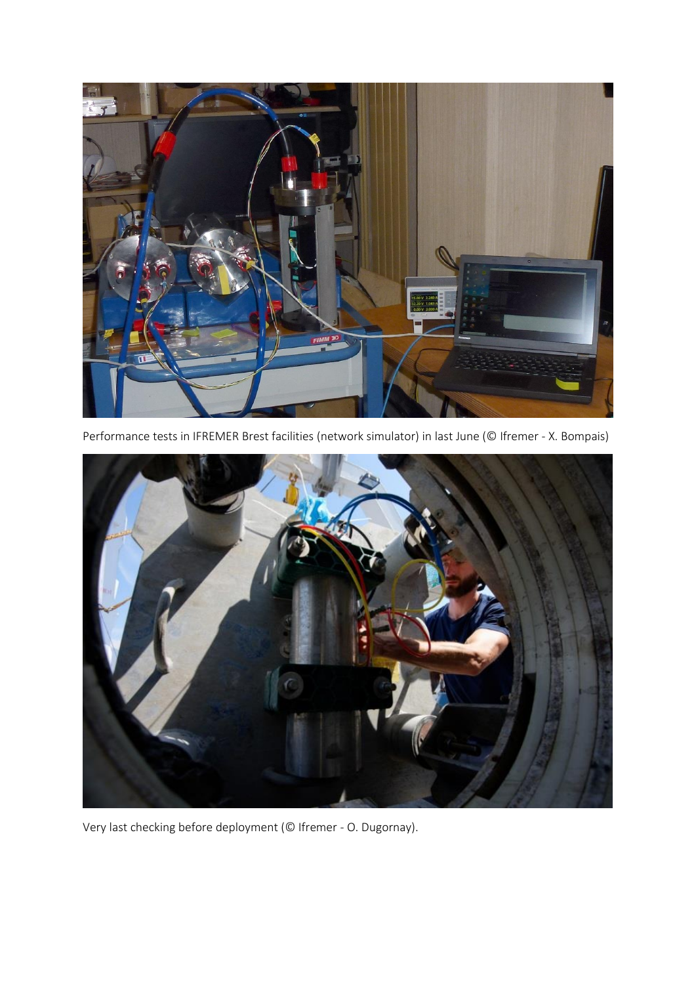

Performance tests in IFREMER Brest facilities (network simulator) in last June (© Ifremer - X. Bompais)



Very last checking before deployment (© Ifremer - O. Dugornay).